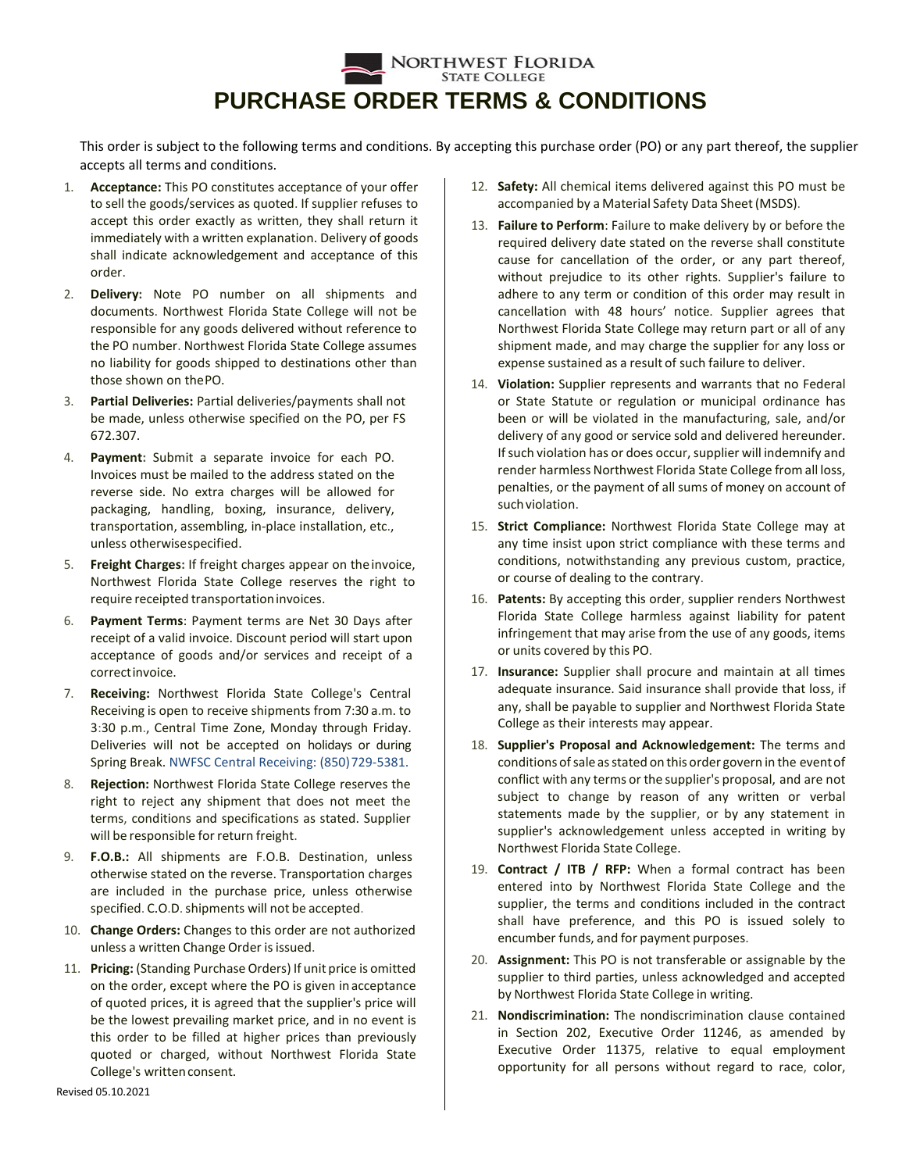## NORTHWEST FLORIDA **STATE COLLEGE PURCHASE ORDER TERMS & CONDITIONS**

This order is subject to the following terms and conditions. By accepting this purchase order (PO) or any part thereof, the supplier accepts all terms and conditions.

- 1. **Acceptance:** This PO constitutes acceptance of your offer to sell the goods/services as quoted. If supplier refuses to accept this order exactly as written, they shall return it immediately with a written explanation. Delivery of goods shall indicate acknowledgement and acceptance of this order.
- 2. **Delivery:** Note PO number on all shipments and documents. Northwest Florida State College will not be responsible for any goods delivered without reference to the PO number. Northwest Florida State College assumes no liability for goods shipped to destinations other than those shown on thePO.
- 3. **Partial Deliveries:** Partial deliveries/payments shall not be made, unless otherwise specified on the PO, per FS 672.307.
- 4. **Payment:** Submit a separate invoice for each PO. Invoices must be mailed to the address stated on the reverse side. No extra charges will be allowed for packaging, handling, boxing, insurance, delivery, transportation, assembling, in-place installation, etc., unless otherwisespecified.
- 5. **Freight Charges:** If freight charges appear on theinvoice, Northwest Florida State College reserves the right to require receipted transportationinvoices.
- 6. **Payment Terms**: Payment terms are Net 30 Days after receipt of a valid invoice. Discount period will start upon acceptance of goods and/or services and receipt of a correctinvoice.
- 7. **Receiving:** Northwest Florida State College's Central Receiving is open to receive shipments from 7:30 a.m. to 3:30 p.m., Central Time Zone, Monday through Friday. Deliveries will not be accepted on holidays or during Spring Break. NWFSC Central Receiving: (850) 729-5381.
- 8. **Rejection:** Northwest Florida State College reserves the right to reject any shipment that does not meet the terms, conditions and specifications as stated. Supplier will be responsible for return freight.
- 9. **F.O.B.:** All shipments are F.O.B. Destination, unless otherwise stated on the reverse. Transportation charges are included in the purchase price, unless otherwise specified. C.O.D. shipments will not be accepted.
- 10. **Change Orders:** Changes to this order are not authorized unless a written Change Order is issued.
- 11. **Pricing:** (Standing Purchase Orders) If unit price is omitted on the order, except where the PO is given inacceptance of quoted prices, it is agreed that the supplier's price will be the lowest prevailing market price, and in no event is this order to be filled at higher prices than previously quoted or charged, without Northwest Florida State College's written consent.
- 12. **Safety:** All chemical items delivered against this PO must be accompanied by a Material Safety Data Sheet(MSDS).
- 13. **Failure to Perform**: Failure to make delivery by or before the required delivery date stated on the reverse shall constitute cause for cancellation of the order, or any part thereof, without prejudice to its other rights. Supplier's failure to adhere to any term or condition of this order may result in cancellation with 48 hours' notice. Supplier agrees that Northwest Florida State College may return part or all of any shipment made, and may charge the supplier for any loss or expense sustained as a result of such failure to deliver.
- 14. **Violation:** Supplier represents and warrants that no Federal or State Statute or regulation or municipal ordinance has been or will be violated in the manufacturing, sale, and/or delivery of any good or service sold and delivered hereunder. If such violation has or does occur, supplier will indemnify and render harmless Northwest Florida State College from all loss, penalties, or the payment of all sums of money on account of such violation.
- 15. **Strict Compliance:** Northwest Florida State College may at any time insist upon strict compliance with these terms and conditions, notwithstanding any previous custom, practice, or course of dealing to the contrary.
- 16. **Patents:** By accepting this order, supplier renders Northwest Florida State College harmless against liability for patent infringement that may arise from the use of any goods, items or units covered by this PO.
- 17. **Insurance:** Supplier shall procure and maintain at all times adequate insurance. Said insurance shall provide that loss, if any, shall be payable to supplier and Northwest Florida State College as their interests may appear.
- 18. **Supplier's Proposal and Acknowledgement:** The terms and conditions of sale as stated on this order govern in the event of conflict with any terms or the supplier's proposal, and are not subject to change by reason of any written or verbal statements made by the supplier, or by any statement in supplier's acknowledgement unless accepted in writing by Northwest Florida State College.
- 19. **Contract / ITB / RFP:** When a formal contract has been entered into by Northwest Florida State College and the supplier, the terms and conditions included in the contract shall have preference, and this PO is issued solely to encumber funds, and for payment purposes.
- 20. **Assignment:** This PO is not transferable or assignable by the supplier to third parties, unless acknowledged and accepted by Northwest Florida State College in writing.
- 21. **Nondiscrimination:** The nondiscrimination clause contained in Section 202, Executive Order 11246, as amended by Executive Order 11375, relative to equal employment opportunity for all persons without regard to race, color,

Revised 05.10.2021